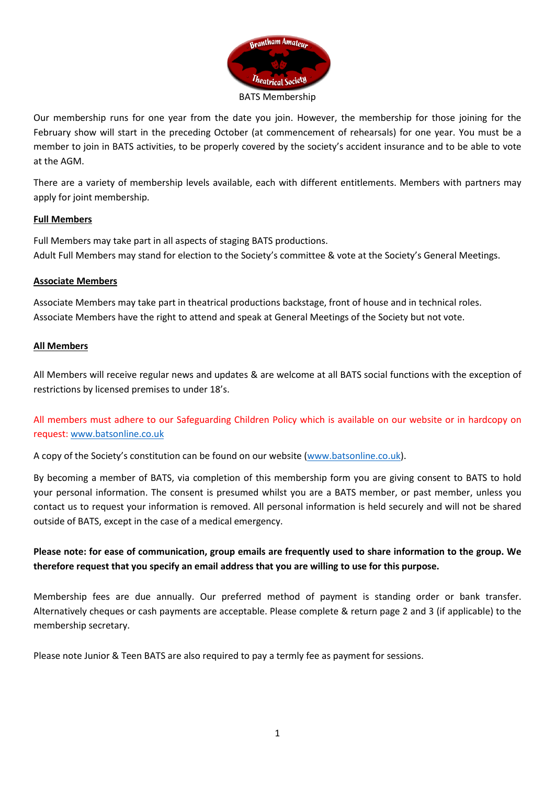

Our membership runs for one year from the date you join. However, the membership for those joining for the February show will start in the preceding October (at commencement of rehearsals) for one year. You must be a member to join in BATS activities, to be properly covered by the society's accident insurance and to be able to vote at the AGM.

There are a variety of membership levels available, each with different entitlements. Members with partners may apply for joint membership.

## **Full Members**

Full Members may take part in all aspects of staging BATS productions. Adult Full Members may stand for election to the Society's committee & vote at the Society's General Meetings.

#### **Associate Members**

Associate Members may take part in theatrical productions backstage, front of house and in technical roles. Associate Members have the right to attend and speak at General Meetings of the Society but not vote.

#### **All Members**

All Members will receive regular news and updates & are welcome at all BATS social functions with the exception of restrictions by licensed premises to under 18's.

All members must adhere to our Safeguarding Children Policy which is available on our website or in hardcopy on request: [www.batsonline.co.uk](http://www.batsonline.co.uk/)

A copy of the Society's constitution can be found on our website ([www.batsonline.co.uk\).](http://www.batsonline.co.uk/) 

By becoming a member of BATS, via completion of this membership form you are giving consent to BATS to hold your personal information. The consent is presumed whilst you are a BATS member, or past member, unless you contact us to request your information is removed. All personal information is held securely and will not be shared outside of BATS, except in the case of a medical emergency.

**Please note: for ease of communication, group emails are frequently used to share information to the group. We therefore request that you specify an email address that you are willing to use for this purpose.** 

Membership fees are due annually. Our preferred method of payment is standing order or bank transfer. Alternatively cheques or cash payments are acceptable. Please complete & return page 2 and 3 (if applicable) to the membership secretary.

Please note Junior & Teen BATS are also required to pay a termly fee as payment for sessions.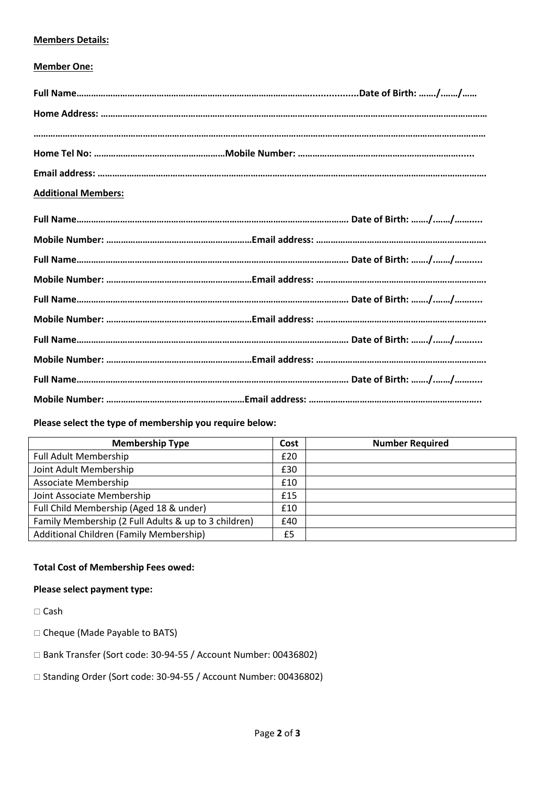### **Members Details:**

### **Member One:**

| <b>Additional Members:</b> |  |
|----------------------------|--|
|                            |  |
|                            |  |
|                            |  |
|                            |  |
|                            |  |
|                            |  |
|                            |  |
|                            |  |
|                            |  |
|                            |  |

## **Please select the type of membership you require below:**

| <b>Membership Type</b>                               | Cost | <b>Number Required</b> |
|------------------------------------------------------|------|------------------------|
| <b>Full Adult Membership</b>                         | £20  |                        |
| Joint Adult Membership                               | £30  |                        |
| Associate Membership                                 | £10  |                        |
| Joint Associate Membership                           | £15  |                        |
| Full Child Membership (Aged 18 & under)              | £10  |                        |
| Family Membership (2 Full Adults & up to 3 children) | £40  |                        |
| Additional Children (Family Membership)              | £5   |                        |

#### **Total Cost of Membership Fees owed:**

# **Please select payment type:**

□ Cash

- Cheque (Made Payable to BATS)
- Bank Transfer (Sort code: 30-94-55 / Account Number: 00436802)
- □ Standing Order (Sort code: 30-94-55 / Account Number: 00436802)